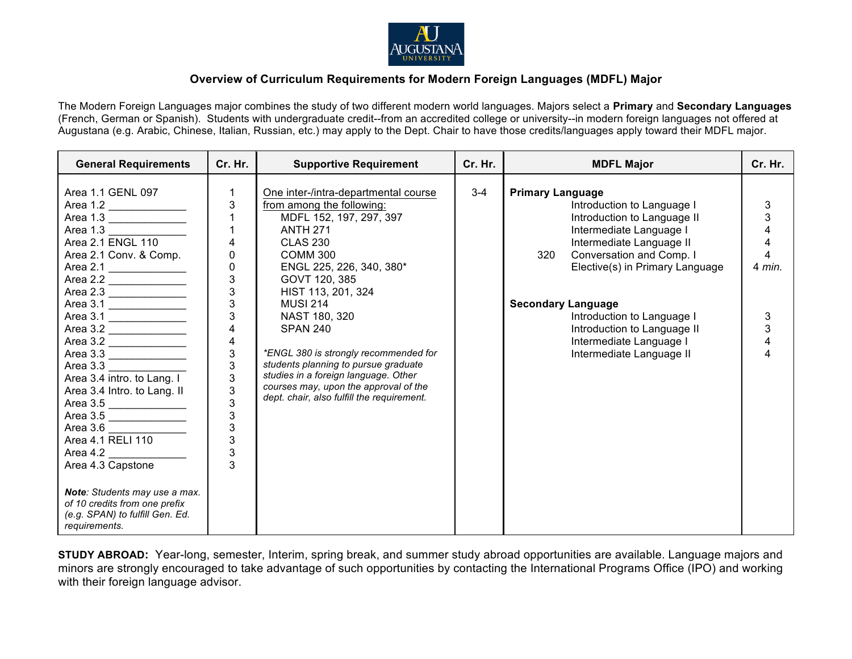

## **Overview of Curriculum Requirements for Modern Foreign Languages (MDFL) Major**

The Modern Foreign Languages major combines the study of two different modern world languages. Majors select a **Primary** and **Secondary Languages** (French, German or Spanish). Students with undergraduate credit--from an accredited college or university--in modern foreign languages not offered at Augustana (e.g. Arabic, Chinese, Italian, Russian, etc.) may apply to the Dept. Chair to have those credits/languages apply toward their MDFL major.

| <b>General Requirements</b>                                                                                                                                                                                                                                                                                                                                                                                                                                                                                                            | Cr. Hr.                                                                                                                                                                                                                                                                                                                                      | <b>Supportive Requirement</b>                                                                                                                                                                                                                                                                                                                                                                                                                                                                       | Cr. Hr. | <b>MDFL Major</b>                                                                                                                                                                                                                                                                                                                                                  | Cr. Hr.                                             |
|----------------------------------------------------------------------------------------------------------------------------------------------------------------------------------------------------------------------------------------------------------------------------------------------------------------------------------------------------------------------------------------------------------------------------------------------------------------------------------------------------------------------------------------|----------------------------------------------------------------------------------------------------------------------------------------------------------------------------------------------------------------------------------------------------------------------------------------------------------------------------------------------|-----------------------------------------------------------------------------------------------------------------------------------------------------------------------------------------------------------------------------------------------------------------------------------------------------------------------------------------------------------------------------------------------------------------------------------------------------------------------------------------------------|---------|--------------------------------------------------------------------------------------------------------------------------------------------------------------------------------------------------------------------------------------------------------------------------------------------------------------------------------------------------------------------|-----------------------------------------------------|
| Area 1.1 GENL 097<br>Area 1.2<br>Area 1.3<br>Area 1.3<br>Area 2.1 ENGL 110<br>Area 2.1 Conv. & Comp.<br>Area 2.1<br>Area 2.2<br>Area 2.3 _______________<br>Area 3.1<br>Area 3.1<br>Area 3.2 $\frac{$<br>Area 3.2 _______________<br>Area 3.3<br>Area 3.3<br>Area 3.4 intro. to Lang. I<br>Area 3.4 Intro. to Lang. II<br>Area 3.5<br>Area 3.5<br>Area 3.6<br>Area 4.1 RELI 110<br>Area 4.2<br>Area 4.3 Capstone<br>Note: Students may use a max.<br>of 10 credits from one prefix<br>(e.g. SPAN) to fulfill Gen. Ed.<br>requirements. | $\mathbf{1}$<br>$\mathbf{3}$<br>$\overline{1}$<br>$\mathbf{1}$<br>$\overline{4}$<br>$\mathbf 0$<br>$\pmb{0}$<br>$\overline{3}$<br>$\overline{3}$<br>$\mathbf{3}$<br>$\overline{3}$<br>$\overline{4}$<br>$\overline{\mathbf{4}}$<br>$\frac{3}{3}$<br>3<br>$\begin{array}{c} 3 \\ 3 \\ 3 \end{array}$<br>$\overline{3}$<br>$\overline{3}$<br>3 | One inter-/intra-departmental course<br>from among the following:<br>MDFL 152, 197, 297, 397<br><b>ANTH 271</b><br><b>CLAS 230</b><br>COMM <sub>300</sub><br>ENGL 225, 226, 340, 380*<br>GOVT 120, 385<br>HIST 113, 201, 324<br><b>MUSI 214</b><br>NAST 180, 320<br><b>SPAN 240</b><br>*ENGL 380 is strongly recommended for<br>students planning to pursue graduate<br>studies in a foreign language. Other<br>courses may, upon the approval of the<br>dept. chair, also fulfill the requirement. | $3 - 4$ | <b>Primary Language</b><br>Introduction to Language I<br>Introduction to Language II<br>Intermediate Language I<br>Intermediate Language II<br>Conversation and Comp. I<br>320<br>Elective(s) in Primary Language<br><b>Secondary Language</b><br>Introduction to Language I<br>Introduction to Language II<br>Intermediate Language I<br>Intermediate Language II | 3<br>3<br>4<br>4<br>4<br>4 min.<br>3<br>3<br>4<br>4 |

**STUDY ABROAD:** Year-long, semester, Interim, spring break, and summer study abroad opportunities are available. Language majors and minors are strongly encouraged to take advantage of such opportunities by contacting the International Programs Office (IPO) and working with their foreign language advisor.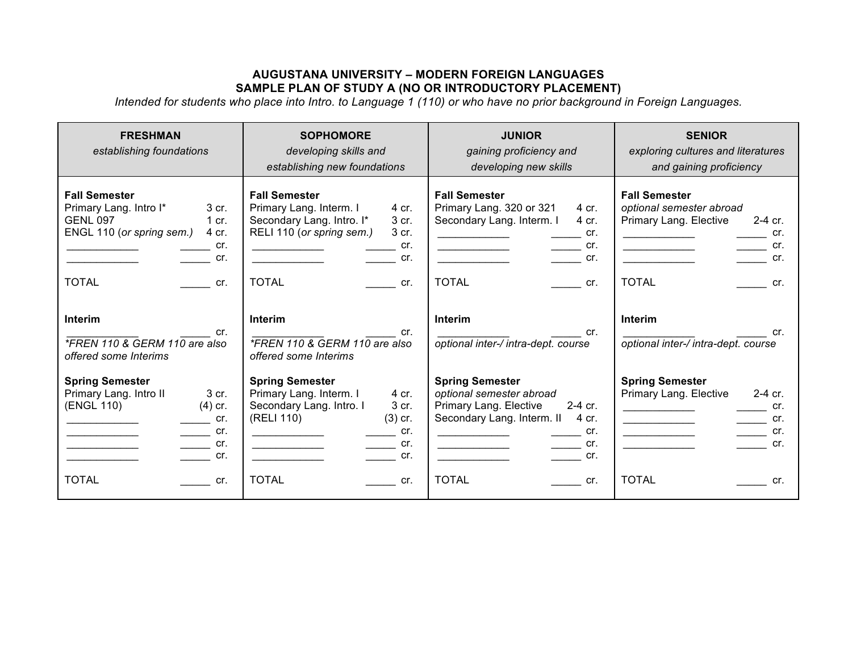## **AUGUSTANA UNIVERSITY – MODERN FOREIGN LANGUAGES SAMPLE PLAN OF STUDY A (NO OR INTRODUCTORY PLACEMENT)**

*Intended for students who place into Intro. to Language 1 (110) or who have no prior background in Foreign Languages.*

| <b>FRESHMAN</b><br>establishing foundations                                                                                                                                                                                       | <b>SOPHOMORE</b><br>developing skills and<br>establishing new foundations                                                                                                             | <b>JUNIOR</b><br>gaining proficiency and<br>developing new skills                                                                                                                                                                   | <b>SENIOR</b><br>exploring cultures and literatures<br>and gaining proficiency                                                                                                                                                                                             |
|-----------------------------------------------------------------------------------------------------------------------------------------------------------------------------------------------------------------------------------|---------------------------------------------------------------------------------------------------------------------------------------------------------------------------------------|-------------------------------------------------------------------------------------------------------------------------------------------------------------------------------------------------------------------------------------|----------------------------------------------------------------------------------------------------------------------------------------------------------------------------------------------------------------------------------------------------------------------------|
| <b>Fall Semester</b><br>Primary Lang. Intro I*<br>3 cr.<br><b>GENL 097</b><br>1 cr.<br>ENGL 110 (or spring sem.)<br>4 cr.<br>cr.<br>$\mathsf{cr}$ .<br><b>TOTAL</b><br>$\mathsf{cr}$ .                                            | <b>Fall Semester</b><br>Primary Lang. Interm. I<br>4 cr.<br>Secondary Lang. Intro. I*<br>3 cr.<br>RELI 110 (or spring sem.)<br>3 cr.<br>cr.<br>cr.<br><b>TOTAL</b><br>$\mathsf{cr}$ . | <b>Fall Semester</b><br>Primary Lang. 320 or 321<br>4 cr.<br>Secondary Lang. Interm. I<br>4 cr.<br>$\mathsf{cr}$ .<br>$\overline{\phantom{a}}$ cr.<br>cr.<br><u> 1990 - Jan Barbara Barat, p</u><br><b>TOTAL</b><br>$\mathsf{cr}$ . | <b>Fall Semester</b><br>optional semester abroad<br>Primary Lang. Elective<br>$2-4$ cr.<br>$\rule{1em}{0.15mm}$ cr.<br>$\rule{1em}{0.15mm}$ cr.<br><u> 1980 - Johann Barbara, martin a</u><br>$\overline{\phantom{a}}$ cr.<br><b>TOTAL</b><br>cr.                          |
| Interim<br>cr.<br>*FREN 110 & GERM 110 are also<br>offered some Interims                                                                                                                                                          | <b>Interim</b><br>cr.<br>*FREN 110 & GERM 110 are also<br>offered some Interims                                                                                                       | Interim<br>cr.<br>optional inter-/ intra-dept. course                                                                                                                                                                               | Interim<br>cr.<br>optional inter-/ intra-dept. course                                                                                                                                                                                                                      |
| <b>Spring Semester</b><br>Primary Lang. Intro II<br>3 cr.<br>(ENGL 110)<br>$(4)$ cr.<br>$\equiv$ cr.<br>$\overline{\phantom{a}}$ cr.<br>$\overline{\phantom{a}}$ cr.<br><u> 1980 - Johann Barbara, martxa alemani</u> ar a<br>cr. | <b>Spring Semester</b><br>Primary Lang. Interm. I<br>4 cr.<br>Secondary Lang. Intro. I<br>3 cr.<br>(RELI 110)<br>$(3)$ cr.<br>cr.<br>$\equiv$ cr.<br><b>Cr.</b>                       | <b>Spring Semester</b><br>optional semester abroad<br>Primary Lang. Elective<br>$2-4$ cr.<br>Secondary Lang. Interm. II<br>4 cr.<br>cr.<br>$\frac{1}{\sqrt{1-\frac{1}{2}}}\text{cr.}$<br>cr.                                        | <b>Spring Semester</b><br>$2-4$ cr.<br>Primary Lang. Elective<br>$\equiv$ cr.<br>$\frac{1}{\sqrt{1-\frac{1}{2}}}\text{cr.}$<br><u>and the state of the state of the state</u><br>$\frac{1}{\sqrt{1-\frac{1}{2}}}\text{cr.}$<br><u> 1989 - Johann Barbara, martx</u><br>cr. |
| <b>TOTAL</b><br><b>Cr.</b>                                                                                                                                                                                                        | <b>TOTAL</b><br>cr.                                                                                                                                                                   | <b>TOTAL</b><br>$\mathsf{cr}$ .                                                                                                                                                                                                     | <b>TOTAL</b><br>cr.                                                                                                                                                                                                                                                        |